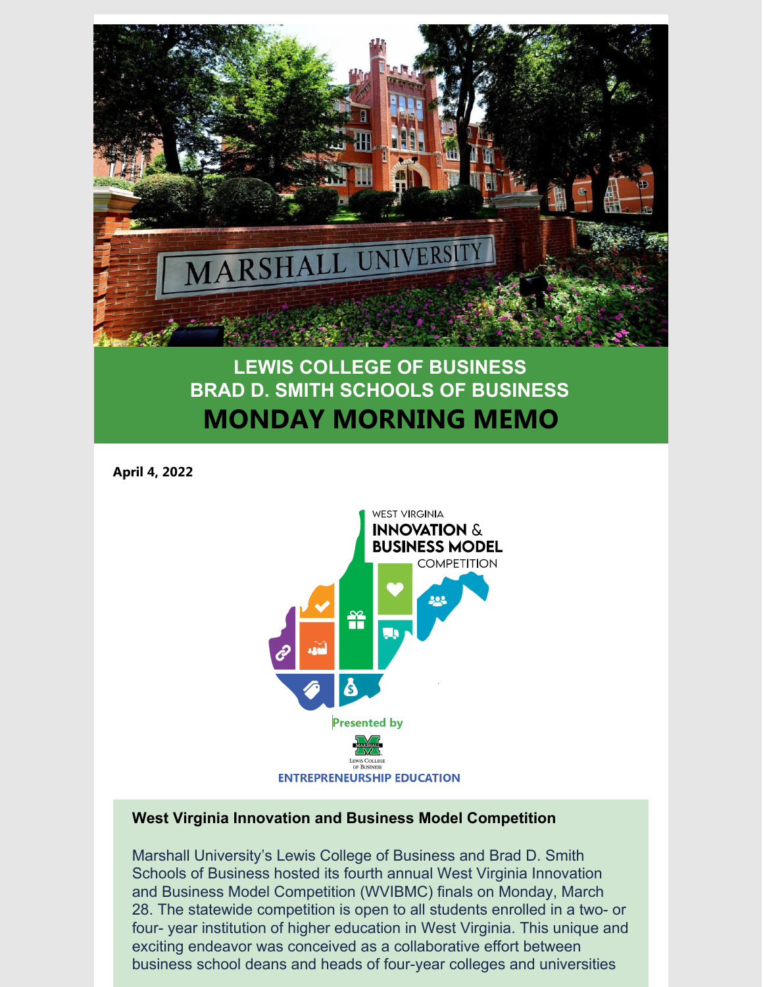

## **LEWIS COLLEGE OF BUSINESS BRAD D. SMITH SCHOOLS OF BUSINESS MONDAY MORNING MEMO**

**April 4, 2022**



## **West Virginia Innovation and Business Model Competition**

Marshall University's Lewis College of Business and Brad D. Smith Schools of Business hosted its fourth annual West Virginia Innovation and Business Model Competition (WVIBMC) finals on Monday, March 28. The statewide competition is open to all students enrolled in a two- or four- year institution of higher education in West Virginia. This unique and exciting endeavor was conceived as a collaborative effort between business school deans and heads of four-year colleges and universities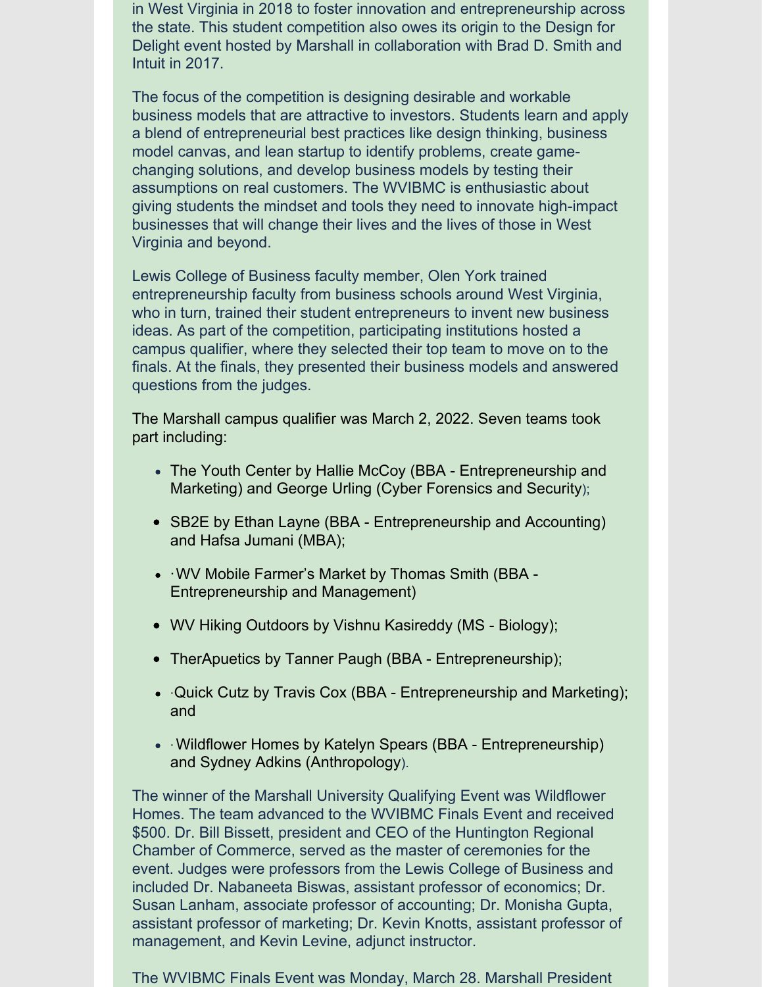in West Virginia in 2018 to foster innovation and entrepreneurship across the state. This student competition also owes its origin to the Design for Delight event hosted by Marshall in collaboration with Brad D. Smith and Intuit in 2017.

The focus of the competition is designing desirable and workable business models that are attractive to investors. Students learn and apply a blend of entrepreneurial best practices like design thinking, business model canvas, and lean startup to identify problems, create gamechanging solutions, and develop business models by testing their assumptions on real customers. The WVIBMC is enthusiastic about giving students the mindset and tools they need to innovate high-impact businesses that will change their lives and the lives of those in West Virginia and beyond.

Lewis College of Business faculty member, Olen York trained entrepreneurship faculty from business schools around West Virginia, who in turn, trained their student entrepreneurs to invent new business ideas. As part of the competition, participating institutions hosted a campus qualifier, where they selected their top team to move on to the finals. At the finals, they presented their business models and answered questions from the judges.

The Marshall campus qualifier was March 2, 2022. Seven teams took part including:

- The Youth Center by Hallie McCoy (BBA Entrepreneurship and Marketing) and George Urling (Cyber Forensics and Security);
- SB2E by Ethan Layne (BBA Entrepreneurship and Accounting) and Hafsa Jumani (MBA);
- ·WV Mobile Farmer's Market by Thomas Smith (BBA Entrepreneurship and Management)
- WV Hiking Outdoors by Vishnu Kasireddy (MS Biology);
- TherApuetics by Tanner Paugh (BBA Entrepreneurship);
- ·Quick Cutz by Travis Cox (BBA Entrepreneurship and Marketing); and
- Wildflower Homes by Katelyn Spears (BBA Entrepreneurship) and Sydney Adkins (Anthropology).

The winner of the Marshall University Qualifying Event was Wildflower Homes. The team advanced to the WVIBMC Finals Event and received \$500. Dr. Bill Bissett, president and CEO of the Huntington Regional Chamber of Commerce, served as the master of ceremonies for the event. Judges were professors from the Lewis College of Business and included Dr. Nabaneeta Biswas, assistant professor of economics; Dr. Susan Lanham, associate professor of accounting; Dr. Monisha Gupta, assistant professor of marketing; Dr. Kevin Knotts, assistant professor of management, and Kevin Levine, adjunct instructor.

The WVIBMC Finals Event was Monday, March 28. Marshall President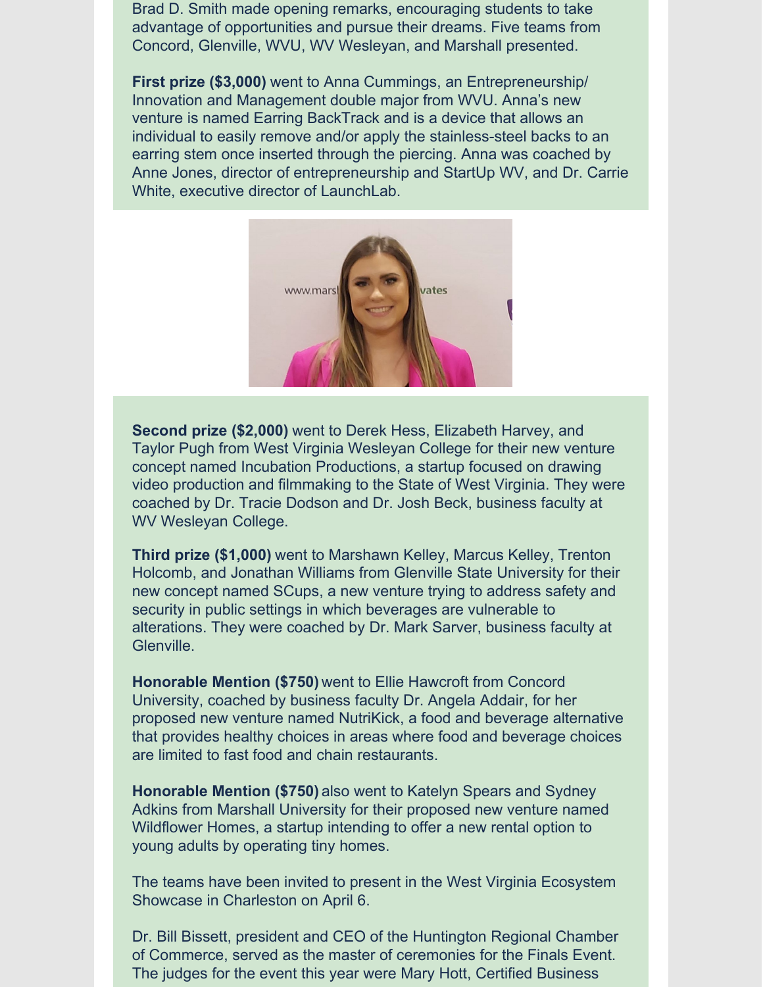Brad D. Smith made opening remarks, encouraging students to take advantage of opportunities and pursue their dreams. Five teams from Concord, Glenville, WVU, WV Wesleyan, and Marshall presented.

**First prize (\$3,000)** went to Anna Cummings, an Entrepreneurship/ Innovation and Management double major from WVU. Anna's new venture is named Earring BackTrack and is a device that allows an individual to easily remove and/or apply the stainless-steel backs to an earring stem once inserted through the piercing. Anna was coached by Anne Jones, director of entrepreneurship and StartUp WV, and Dr. Carrie White, executive director of LaunchLab.



**Second prize (\$2,000)** went to Derek Hess, Elizabeth Harvey, and Taylor Pugh from West Virginia Wesleyan College for their new venture concept named Incubation Productions, a startup focused on drawing video production and filmmaking to the State of West Virginia. They were coached by Dr. Tracie Dodson and Dr. Josh Beck, business faculty at WV Wesleyan College.

**Third prize (\$1,000)** went to Marshawn Kelley, Marcus Kelley, Trenton Holcomb, and Jonathan Williams from Glenville State University for their new concept named SCups, a new venture trying to address safety and security in public settings in which beverages are vulnerable to alterations. They were coached by Dr. Mark Sarver, business faculty at Glenville.

**Honorable Mention (\$750)** went to Ellie Hawcroft from Concord University, coached by business faculty Dr. Angela Addair, for her proposed new venture named NutriKick, a food and beverage alternative that provides healthy choices in areas where food and beverage choices are limited to fast food and chain restaurants.

**Honorable Mention (\$750)** also went to Katelyn Spears and Sydney Adkins from Marshall University for their proposed new venture named Wildflower Homes, a startup intending to offer a new rental option to young adults by operating tiny homes.

The teams have been invited to present in the West Virginia Ecosystem Showcase in Charleston on April 6.

Dr. Bill Bissett, president and CEO of the Huntington Regional Chamber of Commerce, served as the master of ceremonies for the Finals Event. The judges for the event this year were Mary Hott, Certified Business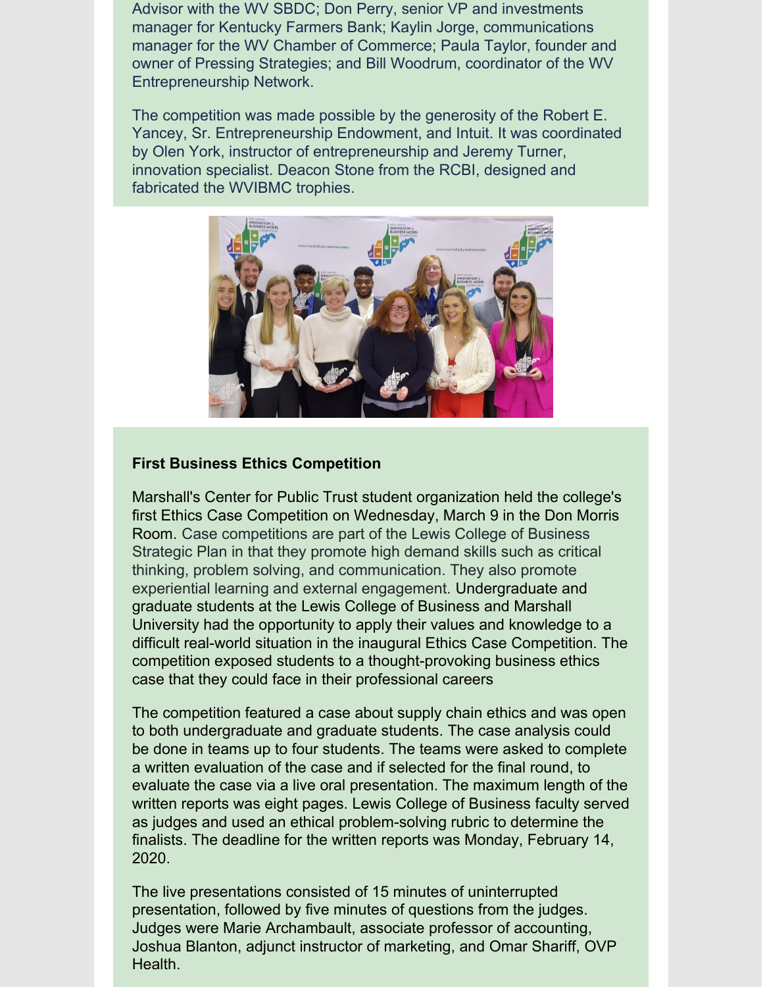Advisor with the WV SBDC; Don Perry, senior VP and investments manager for Kentucky Farmers Bank; Kaylin Jorge, communications manager for the WV Chamber of Commerce; Paula Taylor, founder and owner of Pressing Strategies; and Bill Woodrum, coordinator of the WV Entrepreneurship Network.

The competition was made possible by the generosity of the Robert E. Yancey, Sr. Entrepreneurship Endowment, and Intuit. It was coordinated by Olen York, instructor of entrepreneurship and Jeremy Turner, innovation specialist. Deacon Stone from the RCBI, designed and fabricated the WVIBMC trophies.



## **First Business Ethics Competition**

Marshall's Center for Public Trust student organization held the college's first Ethics Case Competition on Wednesday, March 9 in the Don Morris Room. Case competitions are part of the Lewis College of Business Strategic Plan in that they promote high demand skills such as critical thinking, problem solving, and communication. They also promote experiential learning and external engagement. Undergraduate and graduate students at the Lewis College of Business and Marshall University had the opportunity to apply their values and knowledge to a difficult real-world situation in the inaugural Ethics Case Competition. The competition exposed students to a thought-provoking business ethics case that they could face in their professional careers

The competition featured a case about supply chain ethics and was open to both undergraduate and graduate students. The case analysis could be done in teams up to four students. The teams were asked to complete a written evaluation of the case and if selected for the final round, to evaluate the case via a live oral presentation. The maximum length of the written reports was eight pages. Lewis College of Business faculty served as judges and used an ethical problem-solving rubric to determine the finalists. The deadline for the written reports was Monday, February 14, 2020.

The live presentations consisted of 15 minutes of uninterrupted presentation, followed by five minutes of questions from the judges. Judges were Marie Archambault, associate professor of accounting, Joshua Blanton, adjunct instructor of marketing, and Omar Shariff, OVP Health.